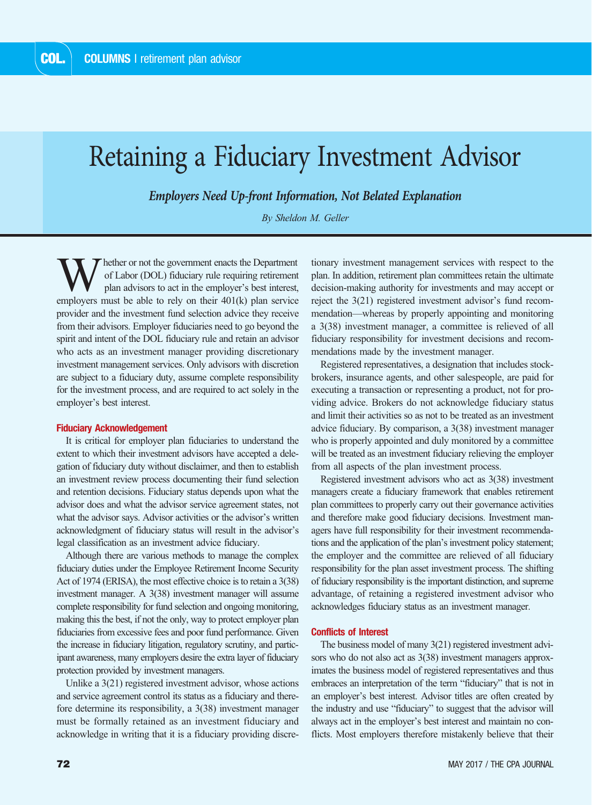# Retaining a Fiduciary Investment Advisor

*Employers Need Up-front Information, Not Belated Explanation*

*By Sheldon M. Geller*

hether or not the government enacts the Department of Labor (DOL) fiduciary rule requiring retirement plan advisors to act in the employer's best interest, employers must be able to rely on their 401(k) plan service provider and the investment fund selection advice they receive from their advisors. Employer fiduciaries need to go beyond the spirit and intent of the DOL fiduciary rule and retain an advisor who acts as an investment manager providing discretionary investment management services. Only advisors with discretion are subject to a fiduciary duty, assume complete responsibility for the investment process, and are required to act solely in the employer's best interest.

### **Fiduciary Acknowledgement**

It is critical for employer plan fiduciaries to understand the extent to which their investment advisors have accepted a delegation of fiduciary duty without disclaimer, and then to establish an investment review process documenting their fund selection and retention decisions. Fiduciary status depends upon what the advisor does and what the advisor service agreement states, not what the advisor says. Advisor activities or the advisor's written acknowledgment of fiduciary status will result in the advisor's legal classification as an investment advice fiduciary.

Although there are various methods to manage the complex fiduciary duties under the Employee Retirement Income Security Act of 1974 (ERISA), the most effective choice is to retain a 3(38) investment manager. A 3(38) investment manager will assume complete responsibility for fund selection and ongoing monitoring, making this the best, if not the only, way to protect employer plan fiduciaries from excessive fees and poor fund performance. Given the increase in fiduciary litigation, regulatory scrutiny, and participant awareness, many employers desire the extra layer of fiduciary protection provided by investment managers.

Unlike a 3(21) registered investment advisor, whose actions and service agreement control its status as a fiduciary and therefore determine its responsibility, a 3(38) investment manager must be formally retained as an investment fiduciary and acknowledge in writing that it is a fiduciary providing discretionary investment management services with respect to the plan. In addition, retirement plan committees retain the ultimate decision-making authority for investments and may accept or reject the 3(21) registered investment advisor's fund recommendation—whereas by properly appointing and monitoring a 3(38) investment manager, a committee is relieved of all fiduciary responsibility for investment decisions and recommendations made by the investment manager.

Registered representatives, a designation that includes stockbrokers, insurance agents, and other salespeople, are paid for executing a transaction or representing a product, not for providing advice. Brokers do not acknowledge fiduciary status and limit their activities so as not to be treated as an investment advice fiduciary. By comparison, a 3(38) investment manager who is properly appointed and duly monitored by a committee will be treated as an investment fiduciary relieving the employer from all aspects of the plan investment process.

Registered investment advisors who act as 3(38) investment managers create a fiduciary framework that enables retirement plan committees to properly carry out their governance activities and therefore make good fiduciary decisions. Investment managers have full responsibility for their investment recommendations and the application of the plan's investment policy statement; the employer and the committee are relieved of all fiduciary responsibility for the plan asset investment process. The shifting of fiduciary responsibility is the important distinction, and supreme advantage, of retaining a registered investment advisor who acknowledges fiduciary status as an investment manager.

## **Conflicts of Interest**

The business model of many 3(21) registered investment advisors who do not also act as  $3(38)$  investment managers approximates the business model of registered representatives and thus embraces an interpretation of the term "fiduciary" that is not in an employer's best interest. Advisor titles are often created by the industry and use "fiduciary" to suggest that the advisor will always act in the employer's best interest and maintain no conflicts. Most employers therefore mistakenly believe that their